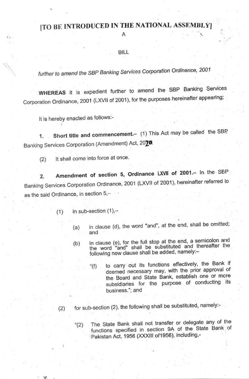## [TO BE INTRODUCED IN THE NATIONAL ASSEMBLY]

A

## **BILL**

further to amend the SBP Banking Services Corporation Ordinance, 2001

WHEREAS it is expedient further to amend the SBP Banking Services Corporation Ordinance, 2001 (LXVII of 2001), for the purposes hereinafter appearing;

It is hereby enacted as follows:-

Short title and commencement.- (1) This Act may be called the SBP.  $1.$ Banking Services Corporation (Amendment) Act, 2020.

It shall come into force at once.  $(2)$ 

Amendment of section 5, Ordinance LXVII of 2001.- In the SBP  $2.$ Banking Services Corporation Ordinance, 2001 (LXVII of 2001), hereinafter referred to as the said Ordinance, in section 5,-

- in sub-section  $(1)$ ,- $(1)$ 
	- in clause (d), the word "and", at the end, shall be omitted;  $(a)$ and
	- in clause (e), for the full stop at the end, a semicolon and  $(b)$ the word "and" shall be substituted and thereafter the following new clause shall be added, namely:
		- to carry out its functions effectively, the Bank if " $(f)$ deemed necessary may, with the prior approval of the Board and State Bank, establish one or more subsidiaries for the purpose of conducting its business.": and

for sub-section (2), the following shall be substituted, namely:- $(2)$ 

The State Bank shall not transfer or delegate any of the  $(2)$ functions specified in section 9A of the State Bank of Pakistan Act, 1956 (XXXIII of 1956), including,-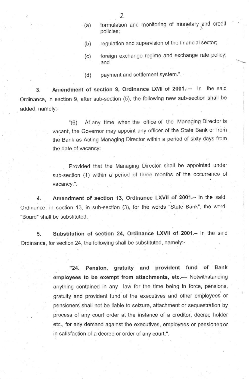- (a) formulation and monitoring of monetary and credit policies;
- (b) regulation and supervision of the financial sector;
- (c) foreign exchange regime and exchange rate policy; and
- (d) payment and settlement system.".

3. Amendment of section 9, Ordinance LXVII of 2001.- In the said Ordinance, in section 9, after sub-section (5), the following new sub-section shall be added, namely:-

> '(6) At any time when the office of the Managing Director is vacant, the Governor may appoint any officer of the State Bank or from the Bank as Acting Managing Director within a period of sixty days from the date of vacancy:

> Provided that the Managing Director shall be appointed under sub-section (1) within a period of three months of the occurrence of vacancy'.

4. Amendment of section 13, Ordinance LXVII of 2001.- In the said Ordinance, in section 13, in sub-section (3), for the words "State Bank", the word "Board' shall be substituted.

5. Substitution of section 24, Ordinance LXVII of 2001.- In the said Ordinance, for section 24, the following shall be substituted, namely:-

> "24. Pension, gratuity and provident tund of Bank employees to be exempt from attachments, etc.-- Notwithstanding anything contained in any law for the time being in force, pensions, gratuity and provident fund of the executives and other employees or pensioners shall not be liable to seizure, attachment or sequestration by process of any court order at the instance of a creditor, decree holder etc., for any demand against the executives, employees or pensioners or in satisfaction of a decree or order of any court.".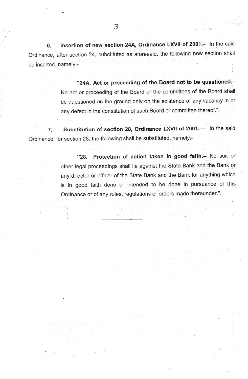6. Insertion of new section 24A, Ordinance LXVII of 2001.- In the said Ordinance, after section 24, substituted as aforesaid, the following new section shall be inserted. namely:-

> "24A, Act or proceeding of the Board not to be questioned.-No act or proceeding of the Board or the committees of the Board shall be questioned on the ground only on the existence of any vacancy in or any defect in the constitution of such Board or committee thereof.".

7. Substitution of section 28, Ordinance LXVII of 2001.- In the said Ordinance, for section 28, the following shall be substituted, namely:-

> "28. Protection of action taken in good faith.- No suit or other legal proceedings shall lie against the State Bank and the Bank or any director or officer of the State Bank and the Bank for any'thing which is in good faith done or intended to be done in pursuance of this Ordinance or of any rules, regulations or orders made thereunder.'.